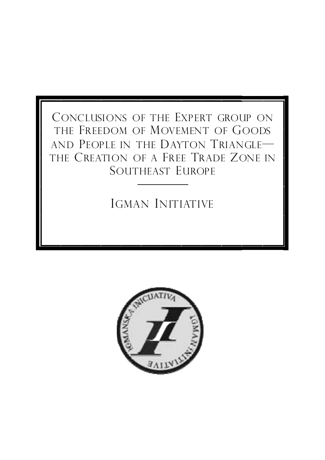## CONCLUSIONS OF THE EXPERT GROUP ON THE FREEDOM OF MOVEMENT OF GOODS AND PEOPLE IN THE DAYTON TRIANGLE— THE CREATION OF A FREE TRADE ZONE IN SOUTHEAST EUROPE

## IGMAN INITIATIVE

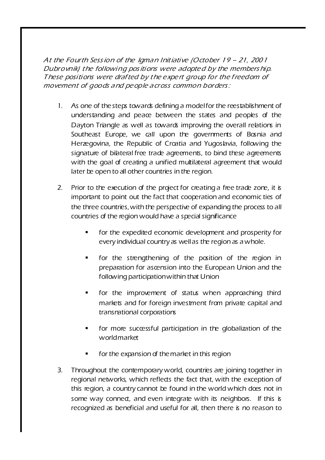At the Fourth Session of the Igman Initiative (October 19 – 21, 2001 Dubrovnik) the following pos itions were adopte d by the members hip. These positions were drafted by the expert group for the freedom of movement of goods a nd pe ople a cross common borders :

- 1. As one of the steps towards defining a model for the reestablishment of understanding and peace between the states and peoples of the Dayton Triangle as well as towards improving the overall relations in Southeast Europe, we call upon the governments of Bosnia and Herzegovina, the Republic of Croatia and Yugoslavia, following the signature of bilateral free trade agreements, to bind these agreements with the goal of creating a unified multilateral agreement that would later be open to all other countries in the region.
- 2. Prior to the execution of the project for creating a free trade zone, it is important to point out the fact that cooperation and economic ties of the three countries, with the perspective of expanding the process to all countries of the region would have a special significance
	- for the expedited economic development and prosperity for every individual country as well as the region as a whole.
	- for the strengthening of the position of the region in preparation for ascension into the European Union and the following participation within that Union
	- **for the improvement of status when approaching third** markets and for foreign investment from private capital and transnational corporations
	- for more successful participation in the globalization of the world market
	- for the expansion of the market in this region
- 3. Throughout the contemporary world, countries are joining together in regional networks, which reflects the fact that, with the exception of this region, a country cannot be found in the world which does not in some way connect, and even integrate with its neighbors. If this is recognized as beneficial and useful for all, then there is no reason to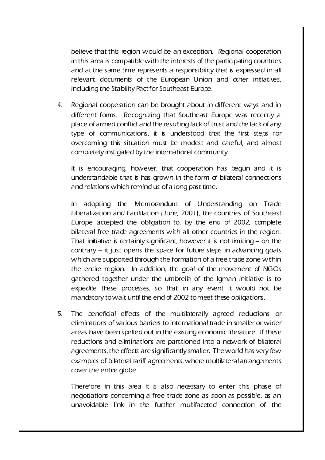believe that this region would be an exception. Regional cooperation in this area is compatible with the interests of the participating countries and at the same time represents a responsibility that is expressed in all relevant documents of the European Union and other initiatives, including the Stability Pact for Southeast Europe.

4. Regional cooperation can be brought about in different ways and in different forms. Recognizing that Southeast Europe was recently a place of armed conflict and the resulting lack of trust and the lack of any type of communications, it is understood that the first steps for overcoming this situation must be modest and careful, and almost completely instigated by the international community.

It is encouraging, however, that cooperation has begun and it is understandable that is has grown in the form of bilateral connections and relations which remind us of a long past time.

In adopting the Memorandum of Understanding on Trade Liberalization and Facilitation (June, 2001), the countries of Southeast Europe accepted the obligation to, by the end of 2002, complete bilateral free trade agreements with all other countries in the region. That initiative is certainly significant, however it is not limiting – on the  $contrary - it just opens the space for future steps in advancing goals$ which are supported through the formation of a free trade zone within the entire region. In addition, the goal of the movement of NGOs gathered together under the umbrella of the Igman Initiative is to expedite these processes, so that in any event it would not be mandatory to wait until the end of 2002 to meet these obligations.

5. The beneficial effects of the multilaterally agreed reductions or eliminations of various barriers to international trade in smaller or wider areas have been spelled out in the existing economic literature. If these reductions and eliminations are partitioned into a network of bilateral agreements, the effects are significantly smaller. The world has very few examples of bilateral tariff agreements, where multilateral arrangements cover the entire globe.

Therefore in this area it is also necessary to enter this phase of negotiations concerning a free trade zone as soon as possible, as an unavoidable link in the further multifaceted connection of the